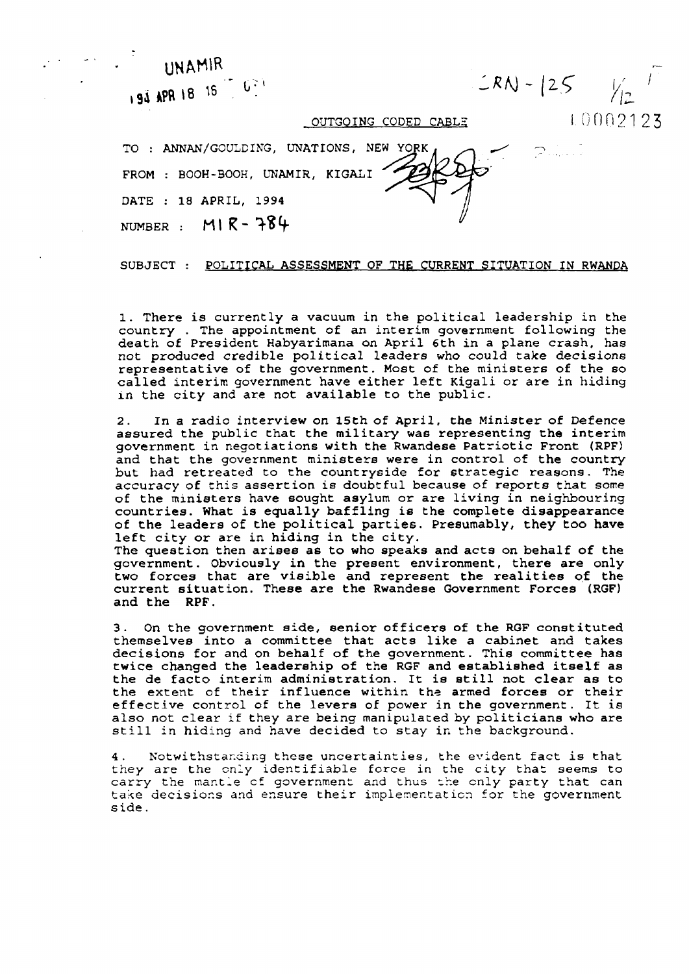UNAMIR  $LRN - 25$ 194 APR 18 16 16 17 10002123 OUTGOING CODED CABLE TO: ANNAN/GOULDING, UNATIONS, NEW YORK  $P$  . . . . . . FROM : BOOH-BOOH, UNAMIR, KIGALI DATE : 18 APRIL, 1994 NUMBER :  $M1R - 784$ 

## SUBJECT : POLITICAL ASSESSMENT OF THE CURRENT SITUATION IN RWANDA

1. There is currently a vacuum in the political leadership in the country. The appointment of an interim government following the death of President Habyarimana on April 6th in a plane crash, has not produced credible political leaders who could take decisions representative of the government. Most of the ministers of the so called interim government have either left Kigali or are in hiding in the city and are not available to the public.

In a radio interview on 15th of April, the Minister of Defence  $2.$ assured the public that the military was representing the interim government in negotiations with the Rwandese Patriotic Front (RPF) and that the government ministers were in control of the country but had retreated to the countryside for strategic reasons. The accuracy of this assertion is doubtful because of reports that some of the ministers have sought asylum or are living in neighbouring countries. What is equally baffling is the complete disappearance of the leaders of the political parties. Presumably, they too have left city or are in hiding in the city.

The question then arises as to who speaks and acts on behalf of the government. Obviously in the present environment, there are only two forces that are visible and represent the realities of the current situation. These are the Rwandese Government Forces (RGF) and the RPF.

On the government side, senior officers of the RGF constituted  $3<sub>1</sub>$ themselves into a committee that acts like a cabinet and takes decisions for and on behalf of the government. This committee has twice changed the leadership of the RGF and established itself as the de facto interim administration. It is still not clear as to the extent of their influence within the armed forces or their effective control of the levers of power in the government. It is also not clear if they are being manipulated by politicians who are still in hiding and have decided to stay in the background.

4. Notwithstanding these uncertainties, the evident fact is that they are the only identifiable force in the city that seems to carry the mantle of government and thus the only party that can take decisions and ensure their implementation for the government side.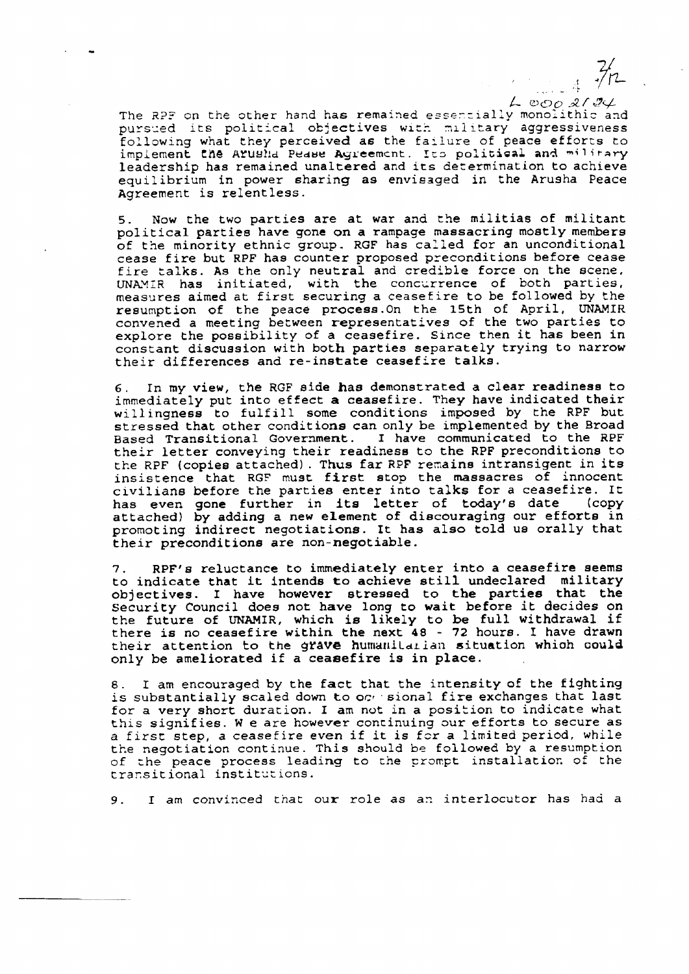$L$  000 2124 The RPF on the other hand has remained essentially monolithic and pursued its political objectives with military aggressiveness following what they perceived as the failure of peace efforts to implement the Arusha Pease Agreement. Ito political and military leadership has remained unaltered and its determination to achieve equilibrium in power sharing as envisaged in the Arusha Peace Agreement is relentless.

ر<br>محمد المحمد ال

Now the two parties are at war and the militias of militant  $5.$ political parties have gone on a rampage massacring mostly members of the minority ethnic group. RGF has called for an unconditional cease fire but RPF has counter proposed preconditions before cease fire talks. As the only neutral and credible force on the scene, UNAMIR has initiated, with the concurrence of both parties, measures aimed at first securing a ceasefire to be followed by the resumption of the peace process. On the 15th of April, UNAMIR convened a meeting between representatives of the two parties to explore the possibility of a ceasefire. Since then it has been in constant discussion with both parties separately trying to narrow their differences and re-instate ceasefire talks.

In my view, the RGF side has demonstrated a clear readiness to 6. immediately put into effect a ceasefire. They have indicated their willingness to fulfill some conditions imposed by the RPF but stressed that other conditions can only be implemented by the Broad Based Transitional Government. I have communicated to the RPF their letter conveying their readiness to the RPF preconditions to the RPF (copies attached). Thus far RPF remains intransigent in its insistence that RGF must first stop the massacres of innocent civilians before the parties enter into talks for a ceasefire. It has even gone further in its letter of today's date  $\left(\text{conv}\right)$ attached) by adding a new element of discouraging our efforts in promoting indirect negotiations. It has also told us orally that their preconditions are non-negotiable.

RPF's reluctance to immediately enter into a ceasefire seems 7. to indicate that it intends to achieve still undeclared military objectives. I have however stressed to the parties that the Security Council does not have long to wait before it decides on the future of UNAMIR, which is likely to be full withdrawal if there is no ceasefire within the next 48 - 72 hours. I have drawn their attention to the grave humanitarian situation which could only be ameliorated if a ceasefire is in place.

I am encouraged by the fact that the intensity of the fighting  $8.$ is substantially scaled down to occ sional fire exchanges that last for a very short duration. I am not in a position to indicate what this signifies. We are however continuing our efforts to secure as a first step, a ceasefire even if it is for a limited period, while the negotiation continue. This should be followed by a resumption of the peace process leading to the prompt installation of the transitional institutions.

I am convinced that our role as an interlocutor has had a 9.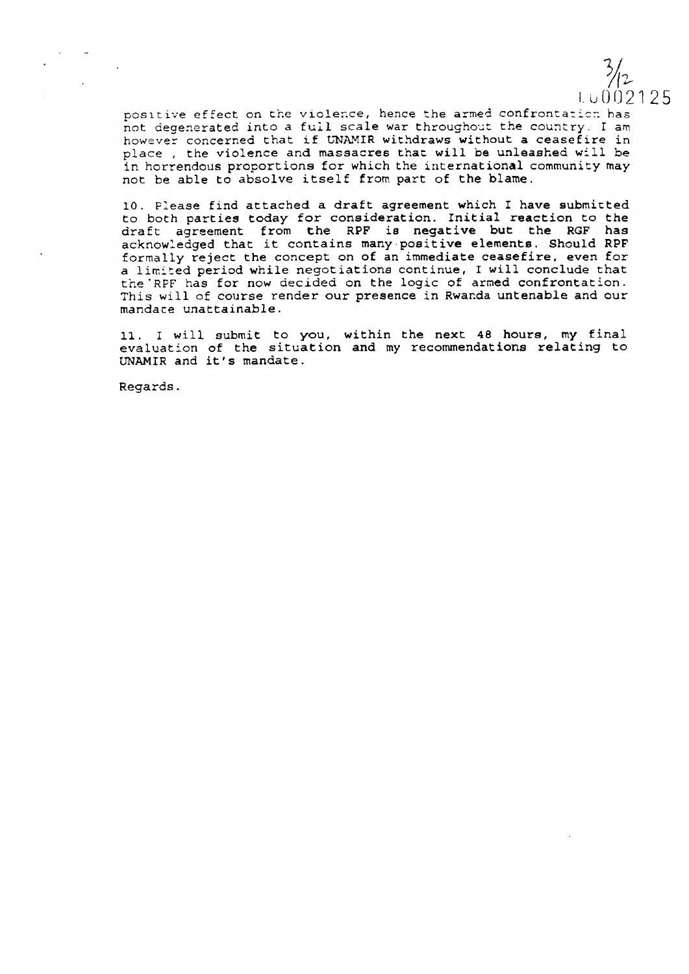$\frac{3}{12}$ LU002125

positive effect on the violence, hence the armed confrontation has not degenerated into a full scale war throughout the country. I am however concerned that if UNAMIR withdraws without a ceasefire in place, the violence and massacres that will be unleashed will be in horrendous proportions for which the international community may not be able to absolve itself from part of the blame.

10. Please find attached a draft agreement which I have submitted to both parties today for consideration. Initial reaction to the draft agreement from the RPF is negative but the RGF has acknowledged that it contains many positive elements. Should RPF formally reject the concept on of an immediate ceasefire, even for a limited period while negotiations continue, I will conclude that the RPF has for now decided on the logic of armed confrontation. This will of course render our presence in Rwanda untenable and our mandate unattainable.

11. I will submit to you, within the next 48 hours, my final evaluation of the situation and my recommendations relating to UNAMIR and it's mandate.

Regards.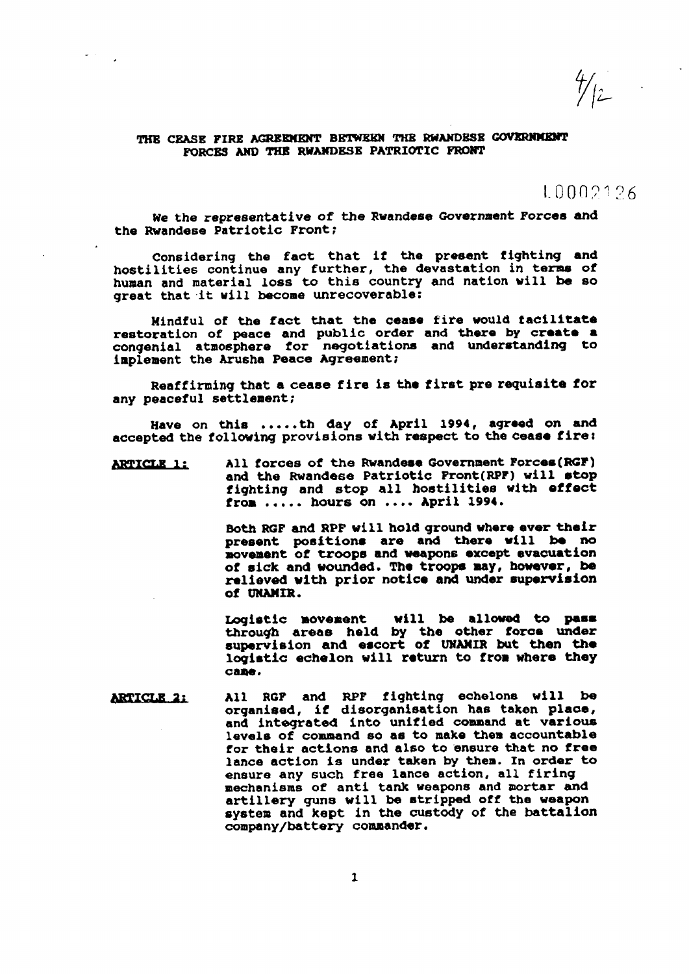$\frac{4}{2}$ 

## THE CEASE FIRE AGREEMENT BETWEEN THE RWANDESE GOVERNMENT FORCES AND THE RWANDESE PATRIOTIC FRONT

## 10002126

We the representative of the Rwandese Government Forces and the Rwandese Patriotic Front;

Considering the fact that if the present fighting and hostilities continue any further, the devastation in terms of human and material loss to this country and nation will be so great that it will become unrecoverable:

Mindful of the fact that the cease fire would facilitate restoration of peace and public order and there by create a congenial atmosphere for negotiations and understanding to implement the Arusha Peace Agreement;

Reaffirming that a cease fire is the first pre requisite for any peaceful settlement;

Have on this .....th day of April 1994, agreed on and accepted the following provisions with respect to the cease fire:

All forces of the Rwandese Government Forces (RGF) **ARTICLE 1:** and the Rwandese Patriotic Front(RPF) will stop fighting and stop all hostilities with effect from ..... hours on .... April 1994.

> Both RGF and RPF will hold ground where ever their present positions are and there will be no movement of troops and weapons except evacuation of sick and wounded. The troops may, however, be relieved with prior notice and under supervision of UNAMIR.

> will be allowed to pass Logistic movement through areas held by the other force under<br>supervision and escort of UNAMIR but then the logistic echelon will return to from where they саде.

All RGP and RPF fighting echelons will be **ARTICLE 2:** organised, if disorganisation has taken place, and integrated into unified command at various levels of command so as to make them accountable for their actions and also to ensure that no free lance action is under taken by them. In order to ensure any such free lance action, all firing mechanisms of anti tank weapons and mortar and artillery guns will be stripped off the weapon system and kept in the custody of the battalion company/battery commander.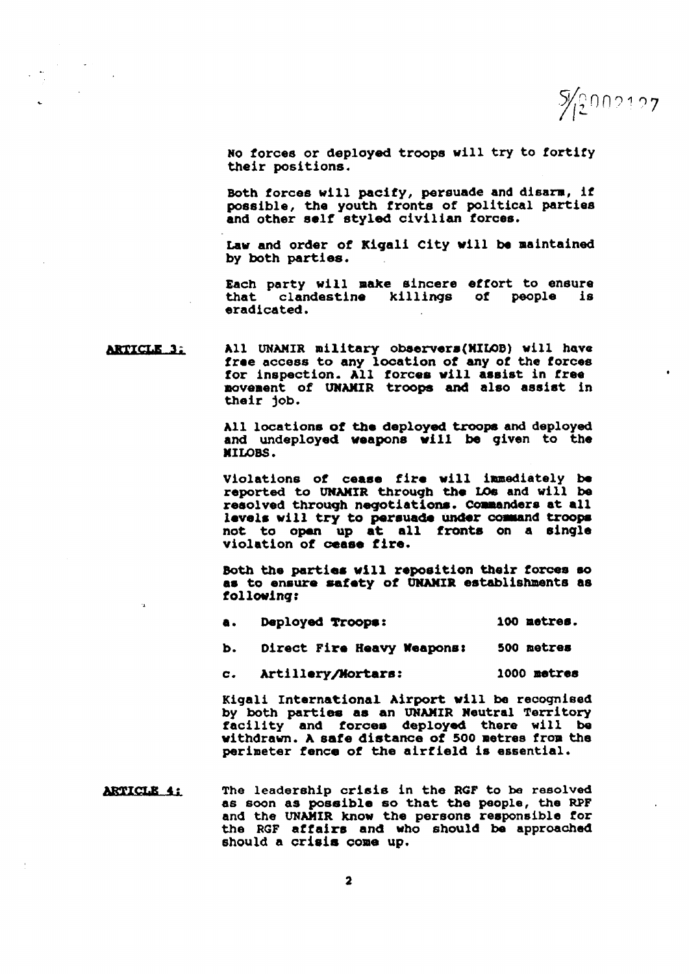$\frac{5}{2}002127$ 

No forces or deployed troops will try to fortify their positions.

Both forces will pacify, persuade and disarm, if possible, the youth fronts of political parties and other self styled civilian forces.

Law and order of Kigali City will be maintained by both parties.

Each party will make sincere effort to ensure that clandestine killings of people is eradicated.

All UNAMIR military observers(MILOB) will have **ARTICLE 3:** free access to any location of any of the forces for inspection. All forces will assist in free novement of UNAMIR troops and also assist in their job.

> All locations of the deployed troops and deployed and undeployed weapons will be given to the **MILORS.**

> Violations of cease fire will immediately be reported to UNAMIR through the LOs and will be resolved through negotiations. Commanders at all levels will try to persuade under command troops not to open up at all fronts on a single violation of cease fire.

> Both the parties will reposition their forces so as to ensure safety of UNAMIR establishments as following:

| е. | Deployed Troops: |  |  | 100 metres. |
|----|------------------|--|--|-------------|
|----|------------------|--|--|-------------|

Direct Fire Heavy Weapons: 500 netres b.

Artillery/Mortars: 1000 metres  $\mathbf{c}$ .

Kigali International Airport will be recognised by both parties as an UNAMIR Neutral Territory facility and forces deployed there will be withdrawn. A safe distance of 500 metres from the perimeter fence of the airfield is essential.

ARTICLE 4: The leadership crisis in the RGF to be resolved as soon as possible so that the people, the RPF and the UNAMIR know the persons responsible for the RGF affairs and who should be approached should a crisis come up.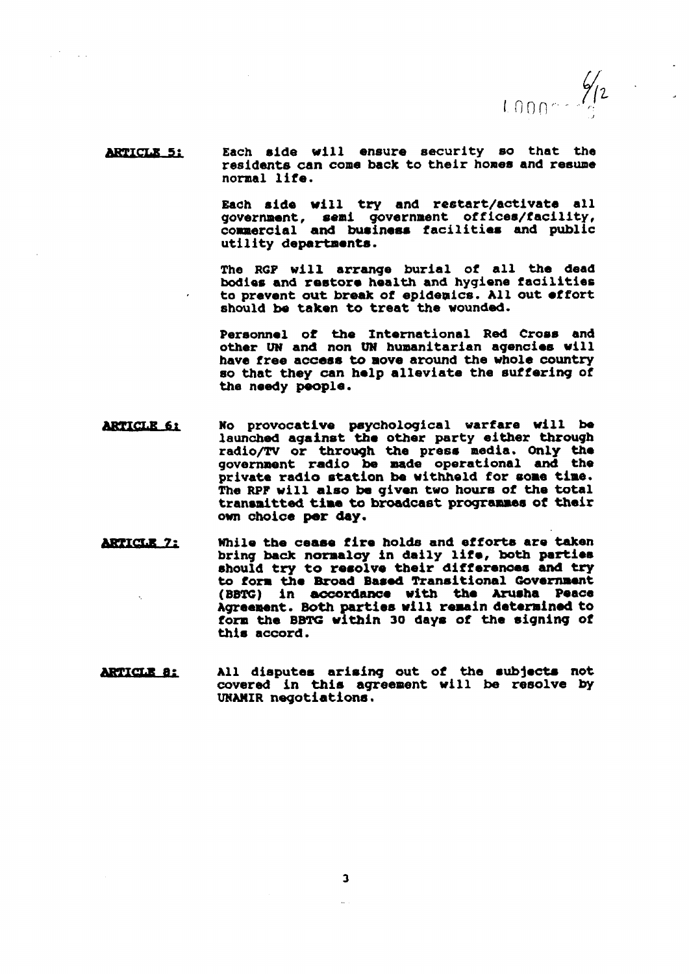$1000 - \frac{\frac{1}{2}}{2}$ 

Each side will ensure security so that the **ARTICLE 5:** residents can come back to their homes and resume normal life.

> Each side will try and restart/activate all government, semi government offices/facility, commercial and business facilities and public utility departments.

> The RGP will arrange burial of all the dead bodies and restore health and hygiene facilities to prevent out break of epidemics. All out effort should be taken to treat the wounded.

> Personnel of the International Red Cross and other UN and non UN humanitarian agencies will have free access to move around the whole country so that they can help alleviate the suffering of the needy people.

- No provocative psychological warfare will be<br>launched against the other party either through **ARTICLE 61** radio/TV or through the press media. Only the government radio be made operational and the private radio station be withheld for some time. The RPF will also be given two hours of the total transmitted time to broadcast programmes of their own choice per day.
- **ARTICLE 7:** While the cease fire holds and efforts are taken bring back normalcy in daily life, both parties should try to resolve their differences and try to form the Broad Based Transitional Government (BBTG) in accordance with the Arusha Peace Agreement. Both parties will remain determined to form the BBTG within 30 days of the signing of this accord.
- All disputes arising out of the subjects not **ARTICLE 8:** covered in this agreement will be resolve by UNAMIR negotiations.

 $\mathbf{3}$